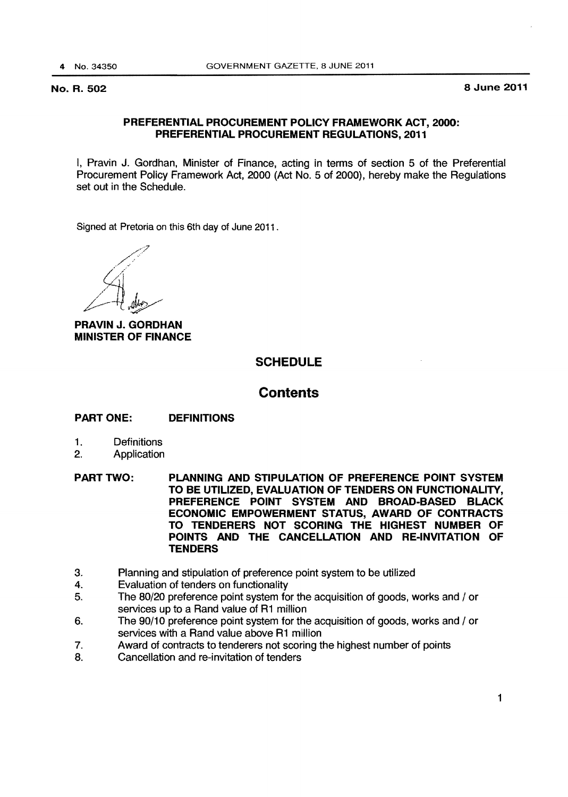# PREFERENTIAL PROCUREMENT POLICY FRAMEWORK ACT, 2000: PREFERENTIAL PROCUREMENT REGULATIONS, 2011

I, Pravin J. Gordhan, Minister of Finance, acting in terms of section 5 of the Preferential Procurement Policy Framework Act, 2000 (Act No.5 of 2000), hereby make the Regulations set out in the Schedule.

Signed at Pretoria on this 6th day of June 2011 .

*/7* /~··  $\mathcal{A}$ 

PRAVIN J. GORDHAN MINISTER OF FINANCE

# SCHEDULE

# **Contents**

# PART ONE: DEFINITIONS

- 1. Definitions
- 2. Application
- PART TWO: PLANNING AND STIPULATION OF PREFERENCE POINT SYSTEM TO BE UTILIZED, EVALUATION OF TENDERS ON FUNCTIONALITY, PREFERENCE POINT SYSTEM AND BROAD-BASED BLACK ECONOMIC EMPOWERMENT STATUS, AWARD OF CONTRACTS TO TENDERERS NOT SCORING THE HIGHEST NUMBER OF POINTS AND THE CANCELLATION AND RE-INVITATION OF **TENDERS**
- 3. Planning and stipulation of preference point system to be utilized
- 4. Evaluation of tenders on functionality
- 5. The 80/20 preference point system for the acquisition of goods, works and / or services up to a Rand value of R1 million
- 6. The 90/10 preference point system for the acquisition of goods, works and / or services with a Rand value above R1 million
- 7. Award of contracts to tenderers not scoring the highest number of points
- 8. Cancellation and re-invitation of tenders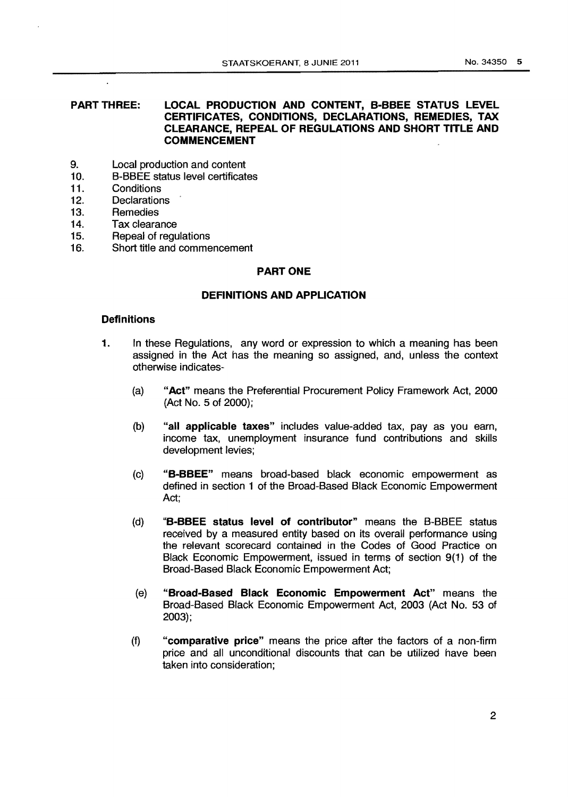## **PART THREE: LOCAL PRODUCTION AND CONTENT, B·BBEE STATUS LEVEL CERTIFICATES, CONDITIONS, DECLARATIONS, REMEDIES, TAX CLEARANCE, REPEAL OF REGULATIONS AND SHORT TITLE AND COMMENCEMENT**

- 9. Local production and content
- 10. B-BBEE status level certificates
- 11. Conditions

 $\ddot{\phantom{a}}$ 

- 12. Declarations
- 13. Remedies<br>14. Tax cleara
- Tax clearance
- 15. Repeal of regulations
- 16. Short title and commencement

## **PART ONE**

### **DEFINITIONS AND APPLICATION**

### **Definitions**

- **1.** In these Regulations, any word or expression to which a meaning has been assigned in the Act has the meaning so assigned, and, unless the context otherwise indicates-
	- (a) **"Act"** means the Preferential Procurement Policy Framework Act, 2000 (Act No.5 of 2000);
	- (b) **"all applicable taxes"** includes value-added tax, pay as you earn, income tax, unemployment insurance fund contributions and skills development levies;
	- (c) **"B-BBEE"** means broad-based black economic empowerment as defined in section 1 of the Broad-Based Black Economic Empowerment Act;
	- (d) **"B-BBEE status level of contributor"** means the B-BBEE status received by a measured entity based on its overall performance using the relevant scorecard contained in the Codes of Good Practice on Black Economic Empowerment, issued in terms of section 9(1) of the Broad-Based Black Economic Empowerment Act;
	- (e) **"Broad-Based Black Economic Empowerment Act"** means the Broad-Based Black Economic Empowerment Act, 2003 (Act No. 53 of 2003);
	- (f) **"comparative price"** means the price after the factors of a non-firm price and all unconditional discounts that can be utilized have been taken into consideration;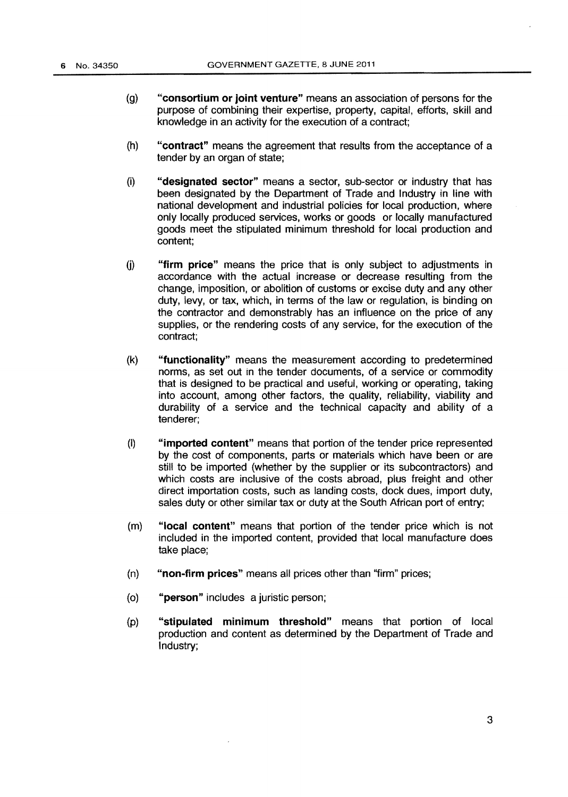- (g) **"consortium or joint venture"** means an association of persons for the purpose of combining their expertise, property, capital, efforts, skill and knowledge in an activity for the execution of a contract;
- (h) **"contract"** means the agreement that results from the acceptance of a tender by an organ of state;
- (i) **"designated sector"** means a sector, sub-sector or industry that has been designated by the Department of Trade and Industry in line with national development and industrial policies for local production, where only locally produced services, works or goods or locally manufactured goods meet the stipulated minimum threshold for local production and content;
- G) **"firm price"** means the price that is only subject to adjustments in accordance with the actual increase or decrease resulting from the change, imposition, or abolition of customs or excise duty and any other duty, levy, or tax, which, in terms of the law or regulation, is binding on the contractor and demonstrably has an influence on the price of any supplies, or the rendering costs of any service, for the execution of the contract;
- (k) **"functionality"** means the measurement according to predetermined norms, as set out in the tender documents, of a service or commodity that is designed to be practical and useful, working or operating, taking into account, among other factors, the quality, reliability, viability and durability of a service and the technical capacity and ability of a tenderer;
- (I) **"imported content"** means that portion of the tender price represented by the cost of components, parts or materials which have been or are still to be imported (whether by the supplier or its subcontractors) and which costs are inclusive of the costs abroad, plus freight and other direct importation costs, such as landing costs, dock dues, import duty, sales duty or other similar tax or duty at the South African port of entry;
- (m) **"local content"** means that portion of the tender price which is not included in the imported content, provided that local manufacture does take place;
- (n) **"non-firm prices"** means all prices other than ''firm" prices;
- (o) **"person"** includes a juristic person;
- (p) **"stipulated minimum threshold"** means that portion of local production and content as determined by the Department of Trade and Industry;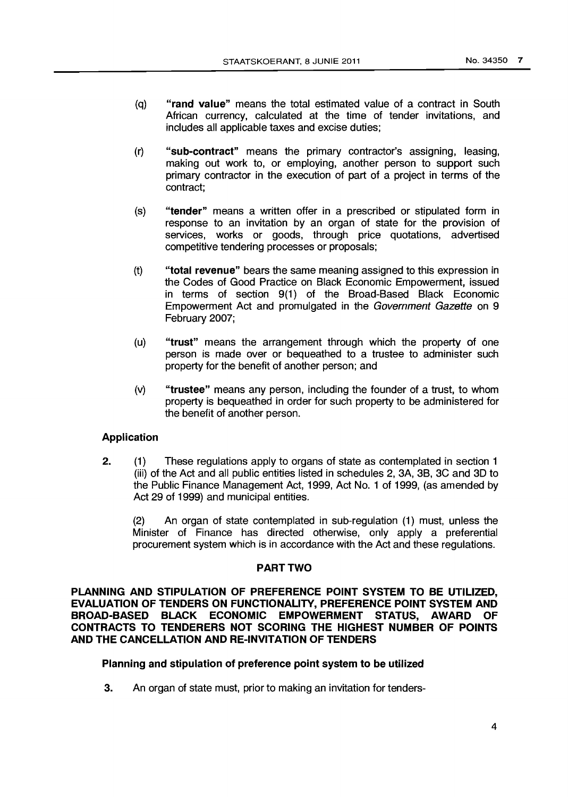- (q) **"rand value"** means the total estimated value of a contract in South African currency, calculated at the time of tender invitations, and includes all applicable taxes and excise duties;
- (r) **"sub-contract"** means the primary contractor's assigning, leasing, making out work to, or employing, another person to support such primary contractor in the execution of part of a project in terms of the contract;
- (s) **"tender"** means a written offer in a prescribed or stipulated form in response to an invitation by an organ of state for the provision of services, works or goods, through price quotations, advertised competitive tendering processes or proposals;
- (t) **"total revenue"** bears the same meaning assigned to this expression in the Codes of Good Practice on Black Economic Empowerment, issued in terms of section 9(1) of the Broad-Based Black Economic Empowerment Act and promulgated in the Government Gazette on 9 February 2007;
- (u) **"trust"** means the arrangement through which the property of one person is made over or bequeathed to a trustee to administer such property for the benefit of another person; and
- (v) **"trustee"** means any person, including the founder of a trust, to whom property is bequeathed in order for such property to be administered for the benefit of another person.

# **Application**

2. (1) These regulations apply to organs of state as contemplated in section 1 (iii) of the Act and all public entities listed in schedules 2, 3A, 3B, 3C and 30 to the Public Finance Management Act, 1999, Act No. 1 of 1999, (as amended by Act 29 of 1999) and municipal entities.

(2) An organ of state contemplated in sub-regulation (1) must, unless the Minister of Finance has directed otherwise, only apply a preferential procurement system which is in accordance with the Act and these regulations.

# **PART TWO**

**PLANNING AND STIPULATION OF PREFERENCE POINT SYSTEM TO BE UTILIZED, EVALUATION OF TENDERS ON FUNCTIONALITY, PREFERENCE POINT SYSTEM AND BROAD-BASED BLACK ECONOMIC EMPOWERMENT STATUS, AWARD OF CONTRACTS TO TENDERERS NOT SCORING THE HIGHEST NUMBER OF POINTS AND THE CANCELLATION AND RE-INVITATION OF TENDERS** 

# **Planning and stipulation of preference point system to be utilized**

3. An organ of state must, prior to making an invitation for tenders-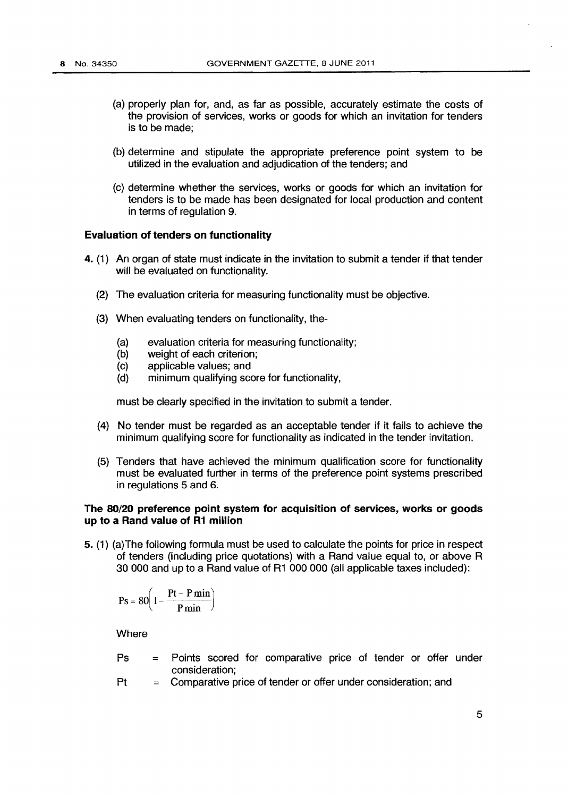- (a) properly plan for, and, as far as possible, accurately estimate the costs of the provision of services, works or goods for which an invitation for tenders is to be made;
- (b) determine and stipulate the appropriate preference point system to be utilized in the evaluation and adjudication of the tenders; and
- (c) determine whether the services, works or goods for which an invitation for tenders is to be made has been designated for local production and content in terms of regulation 9.

### **Evaluation of tenders on functionality**

- **4.** (1) An organ of state must indicate in the invitation to submit a tender if that tender will be evaluated on functionality.
	- (2) The evaluation criteria for measuring functionality must be objective.
	- (3) When evaluating tenders on functionality, the-
		- (a) evaluation criteria for measuring functionality;<br>(b) weight of each criterion:
		- (b) weight of each criterion;<br>(c) applicable values; and
		- applicable values; and
		- (d) minimum qualifying score for functionality,

must be clearly specified in the invitation to submit a tender.

- (4) No tender must be regarded as an acceptable tender if it fails to achieve the minimum qualifying score for functionality as indicated in the tender invitation.
- (5) Tenders that have achieved the minimum qualification score for functionality must be evaluated further in terms of the preference point systems prescribed in regulations 5 and 6.

# **The 80/20 preference point system for acquisition of services, works or goods up to a Rand value of R1 million**

**5.** (1) (a) The following formula must be used to calculate the points for price in respect of tenders (including price quotations) with a Rand value equal to, or above R 30 000 and up to a Rand value of R1 000 000 (all applicable taxes included):

$$
Ps = 80 \left( 1 - \frac{Pt - P \min}{P \min} \right)
$$

**Where** 

- Ps = Points scored for comparative price of tender or offer under consideration;
- $Pt =$  Comparative price of tender or offer under consideration; and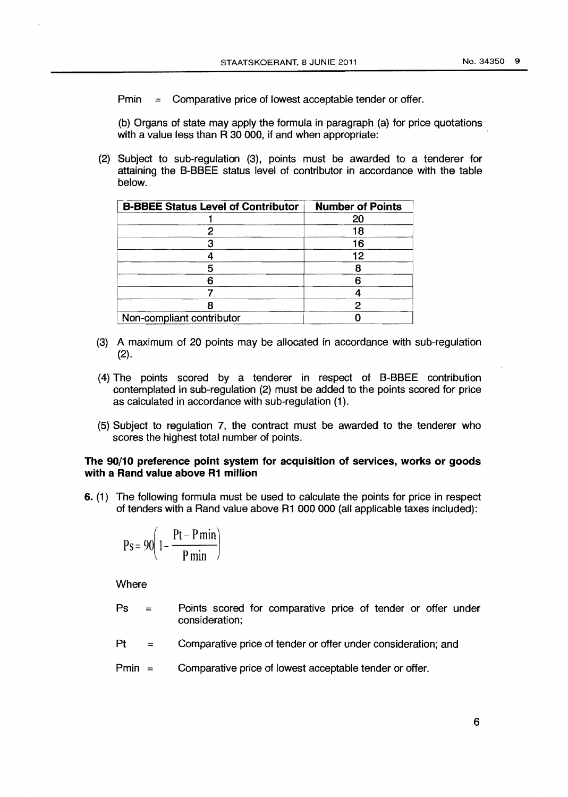Pmin = Comparative price of lowest acceptable tender or offer.

(b) Organs of state may apply the formula in paragraph (a) for price quotations with a value less than R 30 000, if and when appropriate:

(2) Subject to sub-regulation (3), points must be awarded to a tenderer for attaining the 8-88EE status level of contributor in accordance with the table below.

| <b>B-BBEE Status Level of Contributor</b> | <b>Number of Points</b> |
|-------------------------------------------|-------------------------|
|                                           | 20                      |
|                                           | 18                      |
|                                           | 16                      |
|                                           | 12                      |
|                                           |                         |
|                                           |                         |
|                                           |                         |
|                                           |                         |
| Non-compliant contributor                 |                         |

- (3) A maximum of 20 points may be allocated in accordance with sub-regulation (2).
- (4) The points scored by a tenderer in respect of 8-88EE contribution contemplated in sub-regulation (2) must be added to the points scored for price as calculated in accordance with sub-regulation (1 ).
- (5) Subject to regulation 7, the contract must be awarded to the tenderer who scores the highest total number of points.

### The 90/10 preference point system for acquisition of services, works or goods with a Rand value above R1 million

6. (1) The following formula must be used to calculate the points for price in respect of tenders with a Rand value above R1 000 000 (all applicable taxes included):

$$
Ps = 90 \left( 1 - \frac{Pt - P \min}{P \min} \right)
$$

**Where** 

- $Ps =$ Points scored for comparative price of tender or offer under consideration;
- $Pt =$ Comparative price of tender or offer under consideration; and
- $Pmin =$ Comparative price of lowest acceptable tender or offer.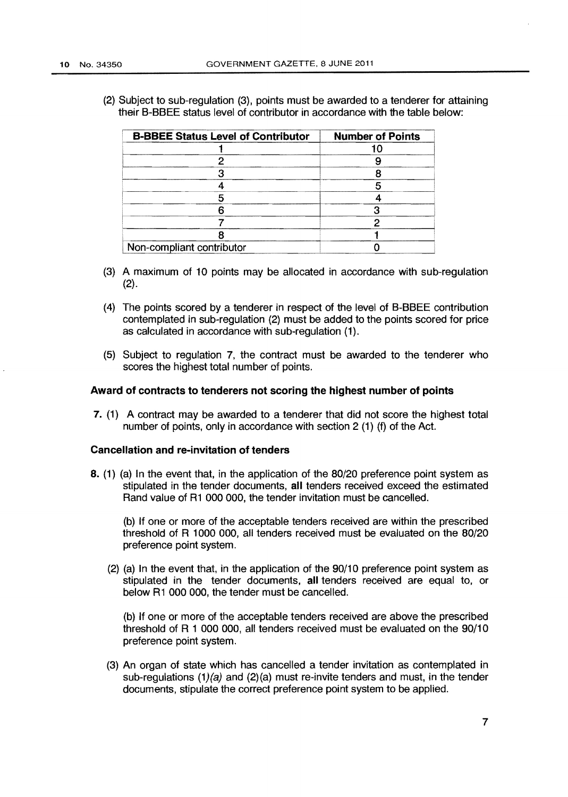(2) Subject to sub-regulation (3), points must be awarded to a tenderer for attaining their B-BBEE status level of contributor in accordance with the table below:

| <b>B-BBEE Status Level of Contributor</b> | <b>Number of Points</b> |
|-------------------------------------------|-------------------------|
|                                           |                         |
|                                           |                         |
|                                           |                         |
|                                           |                         |
|                                           |                         |
|                                           |                         |
|                                           |                         |
|                                           |                         |
| Non-compliant contributor                 |                         |

- (3) A maximum of 10 points may be allocated in accordance with sub-regulation (2).
- (4) The points scored by a tenderer in respect of the level of B-BBEE contribution contemplated in sub-regulation (2) must be added to the points scored for price as calculated in accordance with sub-regulation (1).
- (5) Subject to regulation 7, the contract must be awarded to the tenderer who scores the highest total number of points.

#### **Award of contracts to tenderers not scoring the highest number of points**

**7.** (1) A contract may be awarded to a tenderer that did not score the highest total number of points, only in accordance with section 2 (1) (f) of the Act.

### **Cancellation and re-invitation of tenders**

**8. (1)** (a) In the event that, in the application of the 80/20 preference point system as stipulated in the tender documents, all tenders received exceed the estimated Rand value of R1 000 000, the tender invitation must be cancelled.

(b) If one or more of the acceptable tenders received are within the prescribed threshold of R **1** 000 000, all tenders received must be evaluated on the 80/20 preference point system.

(2) (a) In the event that, in the application of the 90/10 preference point system as stipulated in the tender documents, **all** tenders received are equal to, or below R1 000 000, the tender must be cancelled.

(b) If one or more of the acceptable tenders received are above the prescribed threshold of R 1 000 000, all tenders received must be evaluated on the 90/10 preference point system.

(3) An organ of state which has cancelled a tender invitation as contemplated in sub-regulations  $(1)(a)$  and  $(2)(a)$  must re-invite tenders and must, in the tender documents, stipulate the correct preference point system to be applied.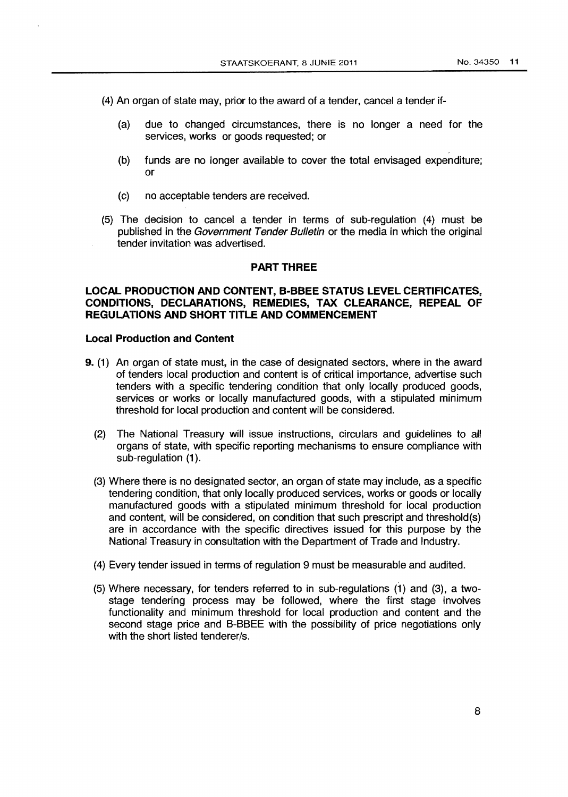(4) An organ of state may, prior to the award of a tender, cancel a tender if-

- (a) due to changed circumstances, there is no longer a need for the services, works or goods requested; or
- (b) funds are no longer available to cover the total envisaged expenditure; or
- (c) no acceptable tenders are received.
- (5) The decision to cancel a tender in terms of sub-regulation (4) must be published in the Government Tender Bulletin or the media in which the original tender invitation was advertised.

### **PART THREE**

# **LOCAL PRODUCTION AND CONTENT, 8-BBEE STATUS LEVEL CERTIFICATES, CONDITIONS, DECLARATIONS, REMEDIES, TAX CLEARANCE, REPEAL OF REGULATIONS AND SHORT TITLE AND COMMENCEMENT**

### **Local Production and Content**

- **9.** (1) An organ of state must, in the case of designated sectors, where in the award of tenders local production and content is of critical importance, advertise such tenders with a specific tendering condition that only locally produced goods, services or works or locally manufactured goods, with a stipulated minimum threshold for local production and content will be considered.
	- (2) The National Treasury will issue instructions, circulars and guidelines to all organs of state, with specific reporting mechanisms to ensure compliance with sub-regulation (1).
	- (3) Where there is no designated sector, an organ of state may include, as a specific tendering condition, that only locally produced services, works or goods or locally manufactured goods with a stipulated minimum threshold for local production and content, will be considered, on condition that such prescript and threshold(s) are in accordance with the specific directives issued for this purpose by the National Treasury in consultation with the Department of Trade and Industry.
	- (4) Every tender issued in terms of regulation 9 must be measurable and audited.
	- (5) Where necessary, for tenders referred to in sub-regulations (1) and (3), a twostage tendering process may be followed, where the first stage involves functionality and minimum threshold for local production and content and the second stage price and B-BBEE with the possibility of price negotiations only with the short listed tenderer/s.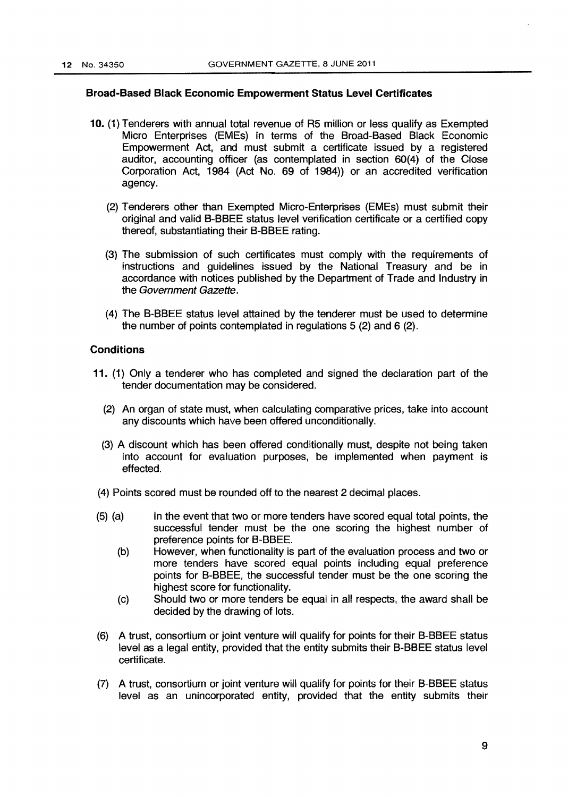### Broad-Based Black Economic Empowerment Status Level Certificates

- 10. (1) Tenderers with annual total revenue of R5 million or less qualify as Exempted Micro Enterprises (EMEs) in terms of the Broad-Based Black Economic Empowerment Act, and must submit a certificate issued by a registered auditor, accounting officer (as contemplated in section 60(4) of the Close Corporation Act, 1984 (Act No. 69 of 1984)) or an accredited verification agency.
	- (2) Tenderers other than Exempted Micro-Enterprises (EMEs) must submit their original and valid B-BBEE status level verification certificate or a certified copy thereof, substantiating their B-BBEE rating.
	- (3) The submission of such certificates must comply with the requirements of instructions and guidelines issued by the National Treasury and be in accordance with notices published by the Department of Trade and Industry in the Government Gazette.
	- (4) The B-BBEE status level attained by the tenderer must be used to determine the number of points contemplated in regulations 5 (2) and 6 (2).

# **Conditions**

- 11. (1) Only a tenderer who has completed and signed the declaration part of the tender documentation may be considered.
	- (2) An organ of state must. when calculating comparative prices, take into account any discounts which have been offered unconditionally.
	- (3) A discount which has been offered conditionally must, despite not being taken into account for evaluation purposes, be implemented when payment is effected.
- (4) Points scored must be rounded off to the nearest 2 decimal places.
- (5) (a) In the event that two or more tenders have scored equal total points, the successful tender must be the one scoring the highest number of preference points for B-BBEE.
	- (b) However, when functionality is part of the evaluation process and two or more tenders have scored equal points including equal preference points for B-BBEE, the successful tender must be the one scoring the highest score for functionality.
	- (c) Should two or more tenders be equal in all respects, the award shall be decided by the drawing of lots.
- (6) A trust, consortium or joint venture will qualify for points for their B-BBEE status level as a legal entity, provided that the entity submits their B-BBEE status level certificate.
- (7) A trust, consortium or joint venture will qualify for points for their B-BBEE status level as an unincorporated entity, provided that the entity submits their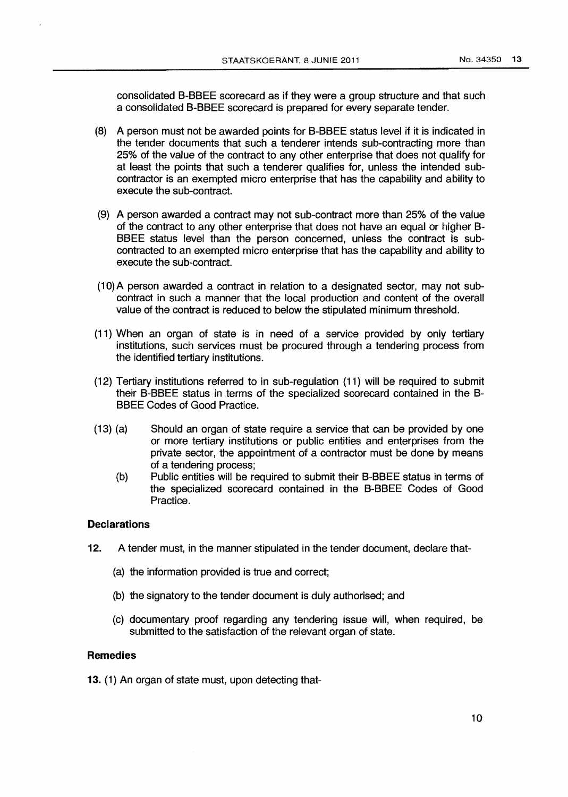consolidated B-BBEE scorecard as if they were a group structure and that such a consolidated B-BBEE scorecard is prepared for every separate tender.

- (8) A person must not be awarded points for B-BBEE status level if it is indicated in the tender documents that such a tenderer intends sub-contracting more than 25% of the value of the contract to any other enterprise that does not qualify for at least the points that such a tenderer qualifies for, unless the intended subcontractor is an exempted micro enterprise that has the capability and ability to execute the sub-contract.
- (9) A person awarded a contract may not sub-contract more than 25% of the value of the contract to any other enterprise that does not have an equal or higher B-BBEE status level than the person concerned, unless the contract is subcontracted to an exempted micro enterprise that has the capability and ability to execute the sub-contract.
- (10)A person awarded a contract in relation to a designated sector, may not subcontract in such a manner that the local production and content of the overall value of the contract is reduced to below the stipulated minimum threshold.
- (11) When an organ of state is in need of a service provided by only tertiary institutions, such services must be procured through a tendering process from the identified tertiary institutions.
- (12) Tertiary institutions referred to in sub-regulation (11) will be required to submit their B-BBEE status in terms of the specialized scorecard contained in the B-BBEE Codes of Good Practice.
- (13) (a) Should an organ of state require a service that can be provided by one or more tertiary institutions or public entities and enterprises from the private sector, the appointment of a contractor must be done by means of a tendering process;
	- (b) Public entities will be required to submit their B-BBEE status in terms of the specialized scorecard contained in the B-BBEE Codes of Good Practice.

#### **Declarations**

- 12. A tender must, in the manner stipulated in the tender document, declare that-
	- (a) the information provided is true and correct;
	- (b) the signatory to the tender document is duly authorised; and
	- (c) documentary proof regarding any tendering issue will, when required, be submitted to the satisfaction of the relevant organ of state.

## **Remedies**

13. (1) An organ of state must, upon detecting that-